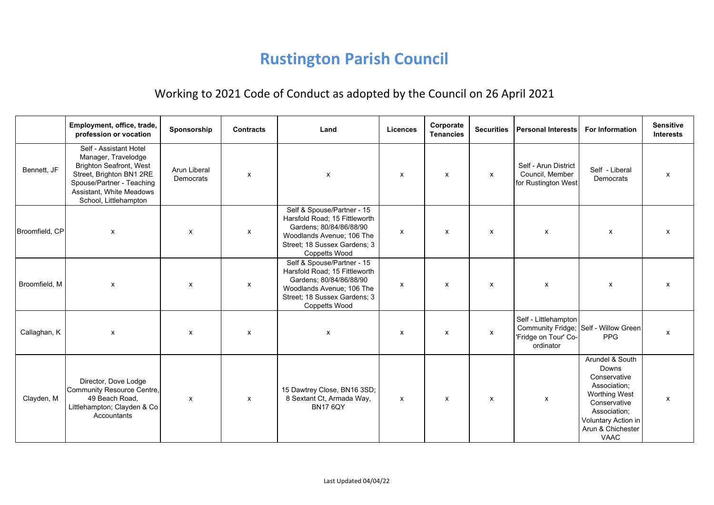## **Rustington Parish Council**

## Working to 2021 Code of Conduct as adopted by the Council on 26 April 2021

|                | Employment, office, trade,<br>profession or vocation                                                                                                                                          | Sponsorship               | <b>Contracts</b> | Land                                                                                                                                                                 | <b>Licences</b> | Corporate<br><b>Tenancies</b> | <b>Securities</b>         | <b>Personal Interests</b>                                      | <b>For Information</b>                                                                                                                                                      | <b>Sensitive</b><br><b>Interests</b> |
|----------------|-----------------------------------------------------------------------------------------------------------------------------------------------------------------------------------------------|---------------------------|------------------|----------------------------------------------------------------------------------------------------------------------------------------------------------------------|-----------------|-------------------------------|---------------------------|----------------------------------------------------------------|-----------------------------------------------------------------------------------------------------------------------------------------------------------------------------|--------------------------------------|
| Bennett. JF    | Self - Assistant Hotel<br>Manager, Travelodge<br><b>Brighton Seafront, West</b><br>Street, Brighton BN1 2RE<br>Spouse/Partner - Teaching<br>Assistant, White Meadows<br>School, Littlehampton | Arun Liberal<br>Democrats | x                | X                                                                                                                                                                    | X               | X                             | $\mathsf{x}$              | Self - Arun District<br>Council, Member<br>for Rustington West | Self - Liberal<br>Democrats                                                                                                                                                 | x                                    |
| Broomfield, CP | $\pmb{\mathsf{x}}$                                                                                                                                                                            | $\pmb{\chi}$              | X                | Self & Spouse/Partner - 15<br>Harsfold Road; 15 Fittleworth<br>Gardens; 80/84/86/88/90<br>Woodlands Avenue; 106 The<br>Street; 18 Sussex Gardens; 3<br>Coppetts Wood | X               | X                             | $\pmb{\chi}$              | $\pmb{\mathsf{x}}$                                             | X                                                                                                                                                                           | x                                    |
| Broomfield, M  | X                                                                                                                                                                                             | X                         | X                | Self & Spouse/Partner - 15<br>Harsfold Road; 15 Fittleworth<br>Gardens; 80/84/86/88/90<br>Woodlands Avenue; 106 The<br>Street; 18 Sussex Gardens; 3<br>Coppetts Wood | X               | X                             | X                         | X                                                              | X                                                                                                                                                                           | x                                    |
| Callaghan, K   | X                                                                                                                                                                                             | $\boldsymbol{\mathsf{x}}$ | X                | X                                                                                                                                                                    | X               | X                             | $\boldsymbol{\mathsf{x}}$ | Self - Littlehampton<br>'Fridge on Tour' Co-<br>ordinator      | Community Fridge; Self - Willow Green<br><b>PPG</b>                                                                                                                         | X                                    |
| Clayden, M     | Director, Dove Lodge<br>Community Resource Centre,<br>49 Beach Road,<br>Littlehampton; Clayden & Co<br>Accountants                                                                            | X                         | X                | 15 Dawtrey Close, BN16 3SD;<br>8 Sextant Ct, Armada Way,<br><b>BN17 6QY</b>                                                                                          | X               | X                             | $\boldsymbol{\mathsf{x}}$ | $\boldsymbol{\mathsf{x}}$                                      | Arundel & South<br>Downs<br>Conservative<br>Association;<br><b>Worthing West</b><br>Conservative<br>Association;<br>Voluntary Action in<br>Arun & Chichester<br><b>VAAC</b> | x                                    |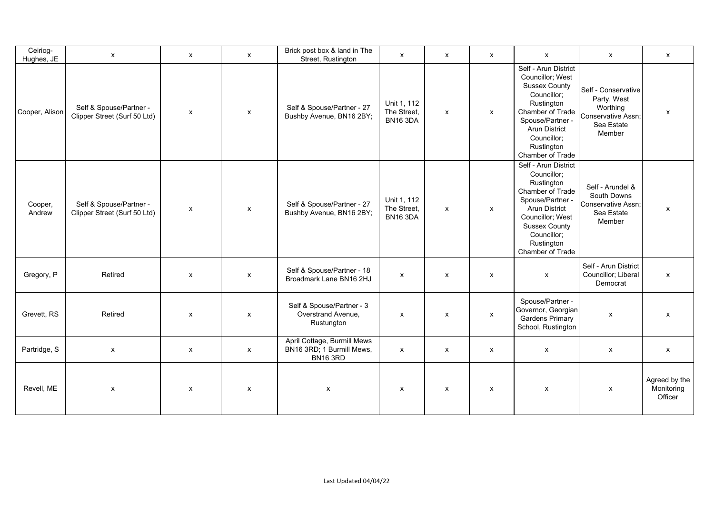| Ceiriog-<br>Hughes, JE | $\boldsymbol{\mathsf{x}}$                               | x                         | $\mathsf{x}$              | Brick post box & land in The<br>Street, Rustington                          | X                                             | X                         | x            | $\mathsf{x}$                                                                                                                                                                                                   | X                                                                                            | $\boldsymbol{\mathsf{x}}$              |
|------------------------|---------------------------------------------------------|---------------------------|---------------------------|-----------------------------------------------------------------------------|-----------------------------------------------|---------------------------|--------------|----------------------------------------------------------------------------------------------------------------------------------------------------------------------------------------------------------------|----------------------------------------------------------------------------------------------|----------------------------------------|
| Cooper, Alison         | Self & Spouse/Partner -<br>Clipper Street (Surf 50 Ltd) | $\pmb{\mathsf{x}}$        | $\boldsymbol{\mathsf{x}}$ | Self & Spouse/Partner - 27<br>Bushby Avenue, BN16 2BY;                      | Unit 1, 112<br>The Street,<br><b>BN16 3DA</b> | $\mathsf{x}$              | $\mathsf{x}$ | Self - Arun District<br>Councillor; West<br><b>Sussex County</b><br>Councillor;<br>Rustington<br>Chamber of Trade<br>Spouse/Partner -<br><b>Arun District</b><br>Councillor;<br>Rustington<br>Chamber of Trade | Self - Conservative<br>Party, West<br>Worthing<br>Conservative Assn;<br>Sea Estate<br>Member | X                                      |
| Cooper,<br>Andrew      | Self & Spouse/Partner -<br>Clipper Street (Surf 50 Ltd) | $\pmb{\mathsf{x}}$        | $\boldsymbol{\mathsf{x}}$ | Self & Spouse/Partner - 27<br>Bushby Avenue, BN16 2BY;                      | Unit 1, 112<br>The Street,<br><b>BN16 3DA</b> | X                         | $\mathsf{x}$ | Self - Arun District<br>Councillor;<br>Rustington<br>Chamber of Trade<br>Spouse/Partner -<br><b>Arun District</b><br>Councillor; West<br><b>Sussex County</b><br>Councillor;<br>Rustington<br>Chamber of Trade | Self - Arundel &<br>South Downs<br>Conservative Assn;<br>Sea Estate<br>Member                | X                                      |
| Gregory, P             | Retired                                                 | $\boldsymbol{\mathsf{x}}$ | $\boldsymbol{\mathsf{x}}$ | Self & Spouse/Partner - 18<br>Broadmark Lane BN16 2HJ                       | X                                             | X                         | x            | $\mathsf{x}$                                                                                                                                                                                                   | Self - Arun District<br>Councillor; Liberal<br>Democrat                                      | $\mathsf{x}$                           |
| Grevett, RS            | Retired                                                 | X                         | $\mathsf{x}$              | Self & Spouse/Partner - 3<br>Overstrand Avenue,<br>Rustungton               | x                                             | $\boldsymbol{\mathsf{x}}$ | $\mathsf{x}$ | Spouse/Partner -<br>Governor, Georgian<br><b>Gardens Primary</b><br>School, Rustington                                                                                                                         | $\mathsf{x}$                                                                                 | $\mathsf{x}$                           |
| Partridge, S           | $\boldsymbol{\mathsf{x}}$                               | $\mathsf{x}$              | $\mathsf{x}$              | April Cottage, Burmill Mews<br>BN16 3RD; 1 Burmill Mews,<br><b>BN16 3RD</b> | $\pmb{\mathsf{X}}$                            | $\mathsf{x}$              | $\mathsf{x}$ | $\mathsf{x}$                                                                                                                                                                                                   | $\boldsymbol{\mathsf{x}}$                                                                    | $\boldsymbol{\mathsf{x}}$              |
| Revell, ME             | X                                                       | $\pmb{\mathsf{X}}$        | $\boldsymbol{\mathsf{x}}$ | Х                                                                           | X                                             | $\mathsf{x}$              | $\mathsf{x}$ | $\pmb{\chi}$                                                                                                                                                                                                   | $\pmb{\mathsf{X}}$                                                                           | Agreed by the<br>Monitoring<br>Officer |